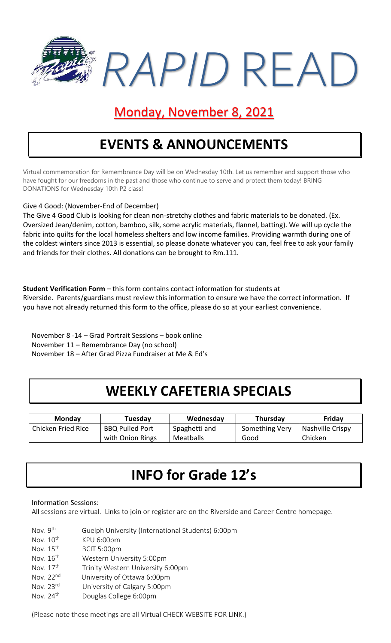

#### Monday, November 8, 2021

## **EVENTS & ANNOUNCEMENTS**

Virtual commemoration for Remembrance Day will be on Wednesday 10th. Let us remember and support those who have fought for our freedoms in the past and those who continue to serve and protect them today! BRING DONATIONS for Wednesday 10th P2 class!

#### Give 4 Good: (November-End of December)

The Give 4 Good Club is looking for clean non-stretchy clothes and fabric materials to be donated. (Ex. Oversized Jean/denim, cotton, bamboo, silk, some acrylic materials, flannel, batting). We will up cycle the fabric into quilts for the local homeless shelters and low income families. Providing warmth during one of the coldest winters since 2013 is essential, so please donate whatever you can, feel free to ask your family and friends for their clothes. All donations can be brought to Rm.111.

**Student Verification Form** – this form contains contact information for students at Riverside. Parents/guardians must review this information to ensure we have the correct information. If you have not already returned this form to the office, please do so at your earliest convenience.

November 8 -14 – Grad Portrait Sessions – book online November 11 – Remembrance Day (no school) November 18 – After Grad Pizza Fundraiser at Me & Ed's

### **WEEKLY CAFETERIA SPECIALS**

| <b>Monday</b>      | Tuesdav                | Wednesday     | <b>Thursday</b> | Friday           |
|--------------------|------------------------|---------------|-----------------|------------------|
| Chicken Fried Rice | <b>BBQ Pulled Port</b> | Spaghetti and | Something Very  | Nashville Crispy |
|                    | with Onion Rings       | Meatballs     | Good            | Chicken          |

### **INFO for Grade 12's**

#### Information Sessions:

All sessions are virtual. Links to join or register are on the Riverside and Career Centre homepage.

| Nov. 9 <sup>th</sup>  | Guelph University (International Students) 6:00pm |
|-----------------------|---------------------------------------------------|
| Nov. 10 <sup>th</sup> | KPU 6:00pm                                        |
| Nov. 15 <sup>th</sup> | BCIT 5:00pm                                       |
| Nov. 16 <sup>th</sup> | Western University 5:00pm                         |
| Nov. 17 <sup>th</sup> | Trinity Western University 6:00pm                 |
| Nov. 22 <sup>nd</sup> | University of Ottawa 6:00pm                       |
| Nov. 23 <sup>rd</sup> | University of Calgary 5:00pm                      |
| Nov. 24 <sup>th</sup> | Douglas College 6:00pm                            |
|                       |                                                   |

(Please note these meetings are all Virtual CHECK WEBSITE FOR LINK.)